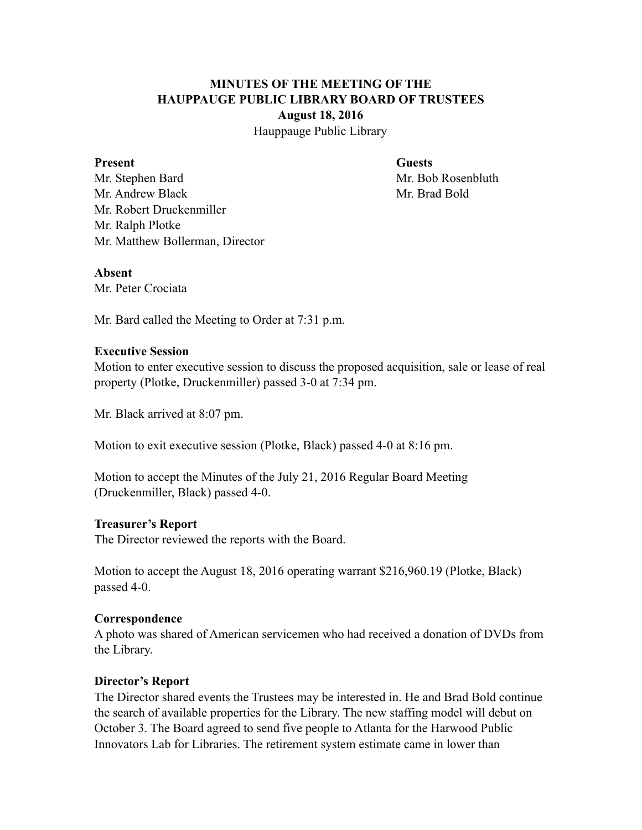# **MINUTES OF THE MEETING OF THE HAUPPAUGE PUBLIC LIBRARY BOARD OF TRUSTEES August 18, 2016**

Hauppauge Public Library

#### **Present Guests**

Mr. Stephen Bard Mr. Bob Rosenbluth Mr. Andrew Black Mr. Brad Bold Mr. Robert Druckenmiller Mr. Ralph Plotke Mr. Matthew Bollerman, Director

#### **Absent**

Mr. Peter Crociata

Mr. Bard called the Meeting to Order at 7:31 p.m.

### **Executive Session**

Motion to enter executive session to discuss the proposed acquisition, sale or lease of real property (Plotke, Druckenmiller) passed 3-0 at 7:34 pm.

Mr. Black arrived at 8:07 pm.

Motion to exit executive session (Plotke, Black) passed 4-0 at 8:16 pm.

Motion to accept the Minutes of the July 21, 2016 Regular Board Meeting (Druckenmiller, Black) passed 4-0.

#### **Treasurer's Report**

The Director reviewed the reports with the Board.

Motion to accept the August 18, 2016 operating warrant \$216,960.19 (Plotke, Black) passed 4-0.

# **Correspondence**

A photo was shared of American servicemen who had received a donation of DVDs from the Library.

# **Director's Report**

The Director shared events the Trustees may be interested in. He and Brad Bold continue the search of available properties for the Library. The new staffing model will debut on October 3. The Board agreed to send five people to Atlanta for the Harwood Public Innovators Lab for Libraries. The retirement system estimate came in lower than